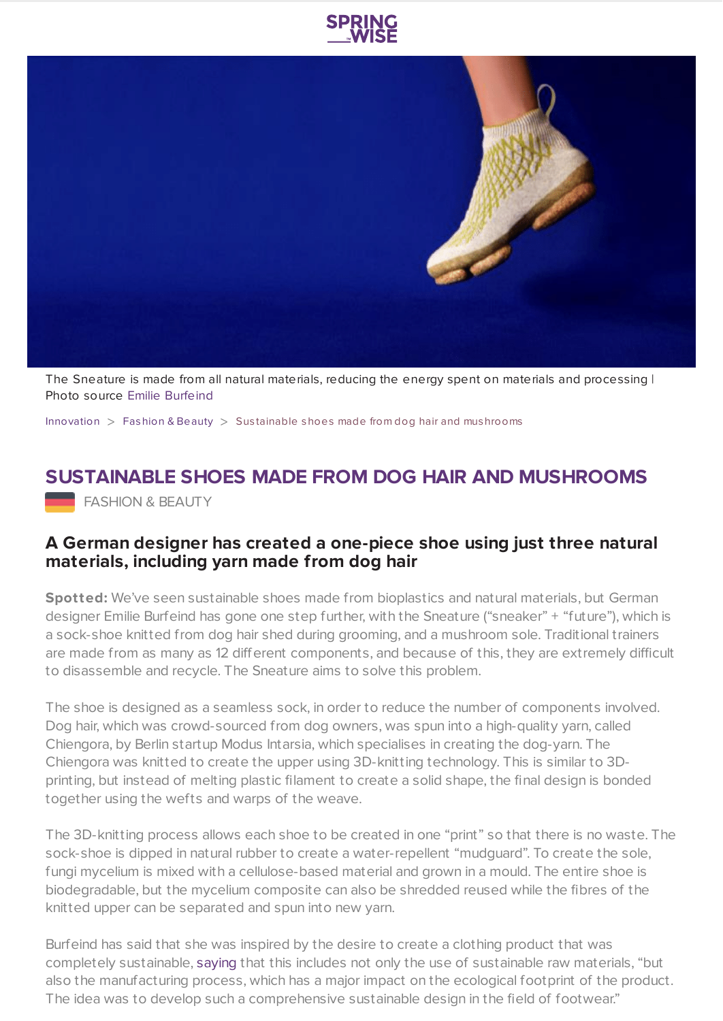



The Sneature is made from all natural materials, reducing the energy spent on materials and processing I Photo source Emilie [Burfeind](http://www.emil-blau.com/projects/sneature.html)

[Innovation](https://www.springwise.com/search?type=innovation)  $>$  [Fashion](https://www.springwise.com/search?type=innovation§or=design-fashion-and-beauty) & Beauty  $>$  Sustainable shoes made from dog hair and mushrooms

## **SUSTAINABLE SHOES MADE FROM DOG HAIR AND MUSHROOMS**

**FASHION & BEAUTY** 

## **A German designer has created a one-piece shoe using just three natural materials, including yarn made from dog hair**

**Spotted:** We've seen sustainable shoes made from bioplastics and natural materials, but German designer Emilie Burfeind has gone one step further, with the Sneature ("sneaker" + "future"), which is a sock-shoe knitted from dog hair shed during grooming, and a mushroom sole. Traditional trainers are made from as many as 12 different components, and because of this, they are extremely difficult to disassemble and recycle. The Sneature aims to solve this problem.

The shoe is designed as a seamless sock, in order to reduce the number of components involved. Dog hair, which was crowd-sourced from dog owners, was spun into a high-quality yarn, called Chiengora, by Berlin startup Modus Intarsia, which specialises in creating the dog-yarn. The Chiengora was knitted to create the upper using 3D-knitting technology. This is similar to 3Dprinting, but instead of melting plastic filament to create a solid shape, the final design is bonded together using the wefts and warps of the weave.

The 3D-knitting process allows each shoe to be created in one "print" so that there is no waste. The sock-shoe is dipped in natural rubber to create a water-repellent "mudguard". To create the sole, fungi mycelium is mixed with a cellulose-based material and grown in a mould. The entire shoe is biodegradable, but the mycelium composite can also be shredded reused while the fibres of the knitted upper can be separated and spun into new yarn.

Burfeind has said that she was inspired by the desire to create a clothing product that was completely sustainable, [saying](https://www.dezeen.com/2021/02/04/sneature-emilie-burfeind-trainer-design/) that this includes not only the use of sustainable raw materials, "but also the manufacturing process, which has a major impact on the ecological footprint of the product. The idea was to develop such a comprehensive sustainable design in the field of footwear."